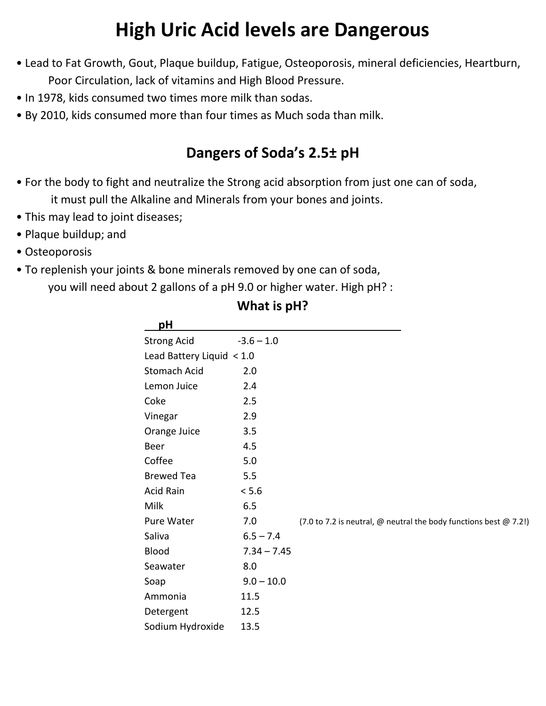# **High Uric Acid levels are Dangerous**

- Lead to Fat Growth, Gout, Plaque buildup, Fatigue, Osteoporosis, mineral deficiencies, Heartburn, Poor Circulation, lack of vitamins and High Blood Pressure.
- In 1978, kids consumed two times more milk than sodas.
- By 2010, kids consumed more than four times as Much soda than milk.

# **Dangers of Soda's 2.5± pH**

- For the body to fight and neutralize the Strong acid absorption from just one can of soda, it must pull the Alkaline and Minerals from your bones and joints.
- This may lead to joint diseases;
- Plaque buildup; and
- Osteoporosis
- To replenish your joints & bone minerals removed by one can of soda,

you will need about 2 gallons of a pH 9.0 or higher water. High pH? :

| рH                        |               |                                                                   |
|---------------------------|---------------|-------------------------------------------------------------------|
| <b>Strong Acid</b>        | $-3.6 - 1.0$  |                                                                   |
| Lead Battery Liquid < 1.0 |               |                                                                   |
| <b>Stomach Acid</b>       | 2.0           |                                                                   |
| Lemon Juice               | 2.4           |                                                                   |
| Coke                      | 2.5           |                                                                   |
| Vinegar                   | 2.9           |                                                                   |
| Orange Juice              | 3.5           |                                                                   |
| <b>Beer</b>               | 4.5           |                                                                   |
| Coffee                    | 5.0           |                                                                   |
| <b>Brewed Tea</b>         | 5.5           |                                                                   |
| Acid Rain                 | < 5.6         |                                                                   |
| Milk                      | 6.5           |                                                                   |
| Pure Water                | 7.0           | (7.0 to 7.2 is neutral, @ neutral the body functions best @ 7.2!) |
| Saliva                    | $6.5 - 7.4$   |                                                                   |
| <b>Blood</b>              | $7.34 - 7.45$ |                                                                   |
| Seawater                  | 8.0           |                                                                   |
| Soap                      | $9.0 - 10.0$  |                                                                   |
| Ammonia                   | 11.5          |                                                                   |
| Detergent                 | 12.5          |                                                                   |
| Sodium Hydroxide          | 13.5          |                                                                   |
|                           |               |                                                                   |

## **What is pH?**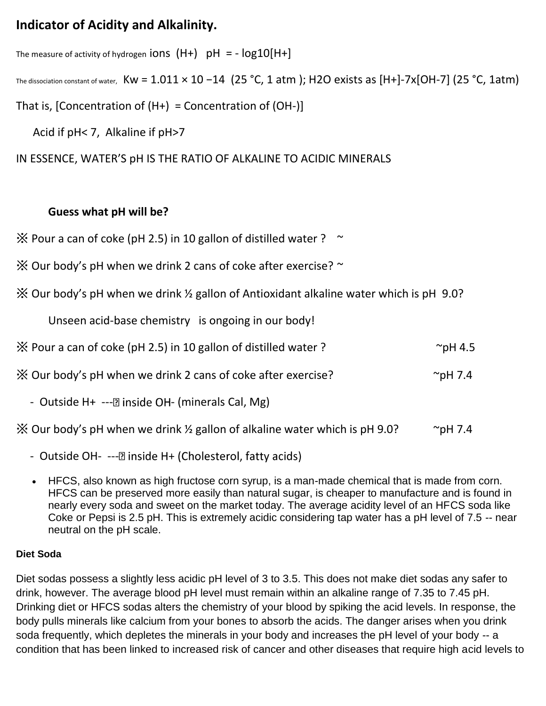## **Indicator of Acidity and Alkalinity.**

The measure of activity of hydrogen **iONS**  $(H+)$  pH = -  $log10[H+]$ 

The dissociation constant of water, Kw = 1.011 × 10 −14 (25 °C, 1 atm); H2O exists as [H+]-7x[OH-7] (25 °C, 1atm)

That is, [Concentration of  $(H+) =$  Concentration of  $(OH-)$ ]

Acid if pH< 7, Alkaline if pH>7

### IN ESSENCE, WATER'S pH IS THE RATIO OF ALKALINE TO ACIDIC MINERALS

### **Guess what pH will be?**

 $\%$  Pour a can of coke (pH 2.5) in 10 gallon of distilled water ? ~

- $\frac{1}{2}$  Our body's pH when we drink 2 cans of coke after exercise?  $\sim$
- ※ Our body's pH when we drink ½ gallon of Antioxidant alkaline water which is pH 9.0?

Unseen acid-base chemistry is ongoing in our body!

| X Pour a can of coke (pH 2.5) in 10 gallon of distilled water ? | $\sim$ pH 4.5 |
|-----------------------------------------------------------------|---------------|
|-----------------------------------------------------------------|---------------|

 $\%$  Our body's pH when we drink 2 cans of coke after exercise?  $\degree$   $\degree$   $\degree$   $\degree$  pH 7.4

- Outside  $H_+$  --- $\mathbb{Z}$  inside OH- (minerals Cal, Mg)

 $\%$  Our body's pH when we drink  $\frac{1}{2}$  gallon of alkaline water which is pH 9.0?  $\degree$  pH 7.4

- Outside OH- --- D inside H + (Cholesterol, fatty acids)
- HFCS, also known as high fructose corn syrup, is a man-made chemical that is made from corn. HFCS can be preserved more easily than natural sugar, is cheaper to manufacture and is found in nearly every soda and sweet on the market today. The average acidity level of an HFCS soda like Coke or Pepsi is 2.5 pH. This is extremely acidic considering tap water has a pH level of 7.5 -- near neutral on the pH scale.

### **Diet Soda**

Diet sodas possess a slightly less acidic pH level of 3 to 3.5. This does not make diet sodas any safer to drink, however. The average blood pH level must remain within an alkaline range of 7.35 to 7.45 pH. Drinking diet or HFCS sodas alters the chemistry of your blood by spiking the acid levels. In response, the body pulls minerals like calcium from your bones to absorb the acids. The danger arises when you drink soda frequently, which depletes the minerals in your body and increases the pH level of your body -- a condition that has been linked to increased risk of cancer and other diseases that require high acid levels to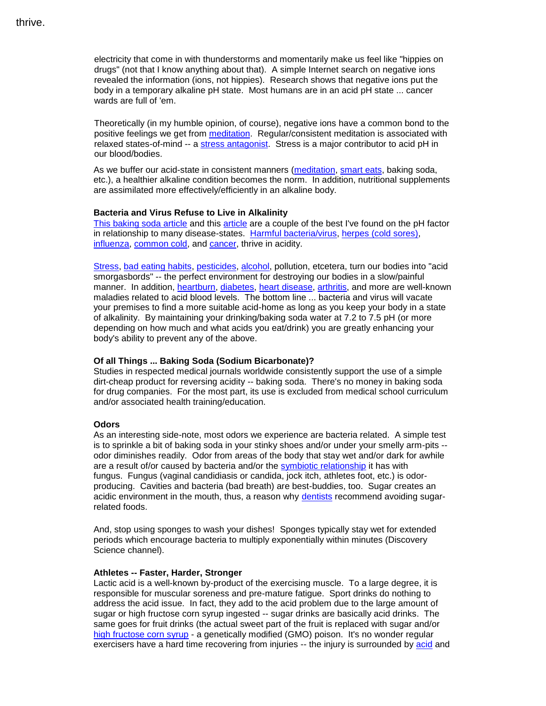electricity that come in with thunderstorms and momentarily make us feel like "hippies on drugs" (not that I know anything about that). A simple Internet search on negative ions revealed the information (ions, not hippies). Research shows that negative ions put the body in a temporary alkaline pH state. Most humans are in an acid pH state ... cancer wards are full of 'em.

Theoretically (in my humble opinion, of course), negative ions have a common bond to the positive feelings we get from [meditation.](http://smartbodyz.com/Meditation-Relaxation-Breathing-Exercises-Focus-Om.htm) Regular/consistent meditation is associated with relaxed states-of-mind -- a [stress antagonist.](http://smartbodyz.com/DHEA-Dehydroepiandrosterone-Helps-With-Effects-of-Stress.htm) Stress is a major contributor to acid pH in our blood/bodies.

As we buffer our acid-state in consistent manners [\(meditation,](http://smartbodyz.com/Meditation-Relaxation-Breathing-Exercises-Focus-Om.htm) [smart eats,](http://smartbodyz.com/Smarteats-supplements-exercise-sample-chapters.htm) baking soda, etc.), a healthier alkaline condition becomes the norm. In addition, nutritional supplements are assimilated more effectively/efficiently in an alkaline body.

#### **Bacteria and Virus Refuse to Live in Alkalinity**

[This baking soda article](http://healthnews.benabraham.com/html/stop_cancer_with_baking_soda.html) and this [article](http://www.naturalnews.com/032070_baking_soda_tumors.html) are a couple of the best I've found on the pH factor in relationship to many disease-states. [Harmful bacteria/virus,](http://smartbodyz.com/Colloidal-Silver-Descriptions1.htm) [herpes \(cold sores\),](http://smartbodyz.com/bht-order.htm) [influenza,](http://smartbodyz.com/Swine-Flu-Influenza-Pandemic.htm) [common cold,](http://smartbodyz.com/Andrographis-Paniculata-Extract-Side-Effects-Benefits.htm) and [cancer,](http://smartbodyz.com/l-theanine-chemotherapy-doxorubicin-2.htm) thrive in acidity.

[Stress,](http://smartbodyz.com/Diabetes-Alcohol-Exercise-Nutritional-Supplements-Antioxidants-P3.htm) [bad eating habits,](http://smartbodyz.com/Bone-Assure-Coral-Calcium-Citrate-Supplement-Order.htm#pH) [pesticides,](http://smartbodyz.com/activated-charcoal-enteraklenz-Order.htm) [alcohol,](http://smartbodyz.com/anti-alcohol-silymarin-milk-thistle-Order.htm) pollution, etcetera, turn our bodies into "acid smorgasbords" -- the perfect environment for destroying our bodies in a slow/painful manner. In addition, [heartburn,](http://smartbodyz.com/Gastritis-Heartburn-Hydrochloric-Acid-HCL.htm) [diabetes,](http://smartbodyz.com/Diabetes-Mellitus-Type-1-2-Diabetic-Symptoms-Diet-Gestational-P1.htm) [heart disease,](http://smartbodyz.com/Vitamin-D-Framingham-Heart-Study.htm) [arthritis,](http://smartbodyz.com/Vitamin-D-Gum-Disease-Cancer-Osteoporosis-MS-Arthritis-Relationship.htm) and more are well-known maladies related to acid blood levels. The bottom line ... bacteria and virus will vacate your premises to find a more suitable acid-home as long as you keep your body in a state of alkalinity. By maintaining your drinking/baking soda water at 7.2 to 7.5 pH (or more depending on how much and what acids you eat/drink) you are greatly enhancing your body's ability to prevent any of the above.

#### **Of all Things ... Baking Soda (Sodium Bicarbonate)?**

Studies in respected medical journals worldwide consistently support the use of a simple dirt-cheap product for reversing acidity -- baking soda. There's no money in baking soda for drug companies. For the most part, its use is excluded from medical school curriculum and/or associated health training/education.

#### **Odors**

As an interesting side-note, most odors we experience are bacteria related. A simple test is to sprinkle a bit of baking soda in your stinky shoes and/or under your smelly arm-pits - odor diminishes readily. Odor from areas of the body that stay wet and/or dark for awhile are a result of/or caused by bacteria and/or the [symbiotic relationship](http://www.sciencedaily.com/releases/2007/04/070405122424.htm) it has with fungus. Fungus (vaginal candidiasis or candida, jock itch, athletes foot, etc.) is odorproducing. Cavities and bacteria (bad breath) are best-buddies, too. Sugar creates an acidic environment in the mouth, thus, a reason why [dentists](http://www.drmitchconditt.com/) recommend avoiding sugarrelated foods.

And, stop using sponges to wash your dishes! Sponges typically stay wet for extended periods which encourage bacteria to multiply exponentially within minutes (Discovery Science channel).

#### **Athletes -- Faster, Harder, Stronger**

Lactic acid is a well-known by-product of the exercising muscle. To a large degree, it is responsible for muscular soreness and pre-mature fatigue. Sport drinks do nothing to address the acid issue. In fact, they add to the acid problem due to the large amount of sugar or high fructose corn syrup ingested -- sugar drinks are basically acid drinks. The same goes for fruit drinks (the actual sweet part of the fruit is replaced with sugar and/or [high fructose corn syrup](http://smartbodyz.com/Optimum-Nutrition-Life-Extension-Whey-Protein-Isolate-Lactoferrin-Order.htm#High-Fructose-Corn-Syrup) - a genetically modified (GMO) poison. It's no wonder regular exercisers have a hard time recovering from injuries -- the injury is surrounded by [acid](http://smartbodyz.com/Gout-Uric-Acid-Hyperuricemia.htm) and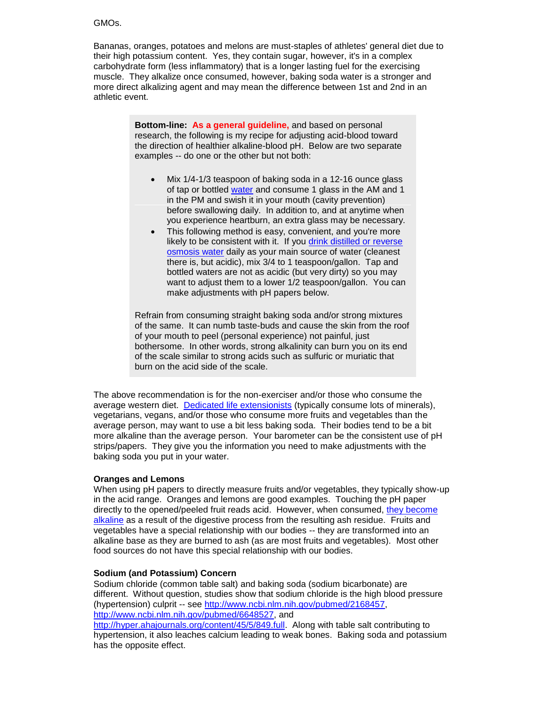#### GMOs.

Bananas, oranges, potatoes and melons are must-staples of athletes' general diet due to their high potassium content. Yes, they contain sugar, however, it's in a complex carbohydrate form (less inflammatory) that is a longer lasting fuel for the exercising muscle. They alkalize once consumed, however, baking soda water is a stronger and more direct alkalizing agent and may mean the difference between 1st and 2nd in an athletic event.

> **Bottom-line: As a general guideline,** and based on personal research, the following is my recipe for adjusting acid-blood toward the direction of healthier alkaline-blood pH. Below are two separate examples -- do one or the other but not both:

- Mix 1/4-1/3 teaspoon of baking soda in a 12-16 ounce glass of tap or bottled [water](http://smartbodyz.com/Lifestyle-Tips-for-Healthy-Skin.htm) and consume 1 glass in the AM and 1 in the PM and swish it in your mouth (cavity prevention) before swallowing daily. In addition to, and at anytime when you experience heartburn, an extra glass may be necessary.
- This following method is easy, convenient, and you're more likely to be consistent with it. If you [drink distilled or reverse](http://smartbodyz.com/Water-Thirst-Contaminants-Distilled.htm)  [osmosis water](http://smartbodyz.com/Water-Thirst-Contaminants-Distilled.htm) daily as your main source of water (cleanest there is, but acidic), mix 3/4 to 1 teaspoon/gallon. Tap and bottled waters are not as acidic (but very dirty) so you may want to adjust them to a lower 1/2 teaspoon/gallon. You can make adjustments with pH papers below.

Refrain from consuming straight baking soda and/or strong mixtures of the same. It can numb taste-buds and cause the skin from the roof of your mouth to peel (personal experience) not painful, just bothersome. In other words, strong alkalinity can burn you on its end of the scale similar to strong acids such as sulfuric or muriatic that burn on the acid side of the scale.

The above recommendation is for the non-exerciser and/or those who consume the average western diet. [Dedicated life extensionists](http://smartbodyz.com/Smarteats-supplements-exercise-sample-chapters.htm#SmartSupplements) (typically consume lots of minerals), vegetarians, vegans, and/or those who consume more fruits and vegetables than the average person, may want to use a bit less baking soda. Their bodies tend to be a bit more alkaline than the average person. Your barometer can be the consistent use of pH strips/papers. They give you the information you need to make adjustments with the baking soda you put in your water.

#### **Oranges and Lemons**

When using pH papers to directly measure fruits and/or vegetables, they typically show-up in the acid range. Oranges and lemons are good examples. Touching the pH paper directly to the opened/peeled fruit reads acid. However, when consumed, [they become](http://smartbodyz.com/Alkaline-Plant-Foods-Preserve-Muscle-Mass.htm)  [alkaline](http://smartbodyz.com/Alkaline-Plant-Foods-Preserve-Muscle-Mass.htm) as a result of the digestive process from the resulting ash residue. Fruits and vegetables have a special relationship with our bodies -- they are transformed into an alkaline base as they are burned to ash (as are most fruits and vegetables). Most other food sources do not have this special relationship with our bodies.

#### **Sodium (and Potassium) Concern**

Sodium chloride (common table salt) and baking soda (sodium bicarbonate) are different. Without question, studies show that sodium chloride is the high blood pressure (hypertension) culprit -- see [http://www.ncbi.nlm.nih.gov/pubmed/2168457,](http://www.ncbi.nlm.nih.gov/pubmed/2168457) [http://www.ncbi.nlm.nih.gov/pubmed/6648527,](http://www.ncbi.nlm.nih.gov/pubmed/6648527) and

[http://hyper.ahajournals.org/content/45/5/849.full.](http://hyper.ahajournals.org/content/45/5/849.full) Along with table salt contributing to hypertension, it also leaches calcium leading to weak bones. Baking soda and potassium has the opposite effect.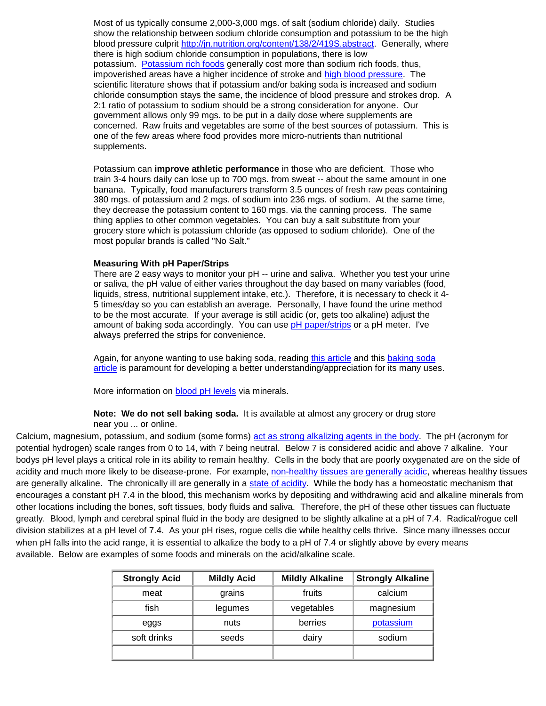Most of us typically consume 2,000-3,000 mgs. of salt (sodium chloride) daily. Studies show the relationship between sodium chloride consumption and potassium to be the high blood pressure culprit [http://jn.nutrition.org/content/138/2/419S.abstract.](http://jn.nutrition.org/content/138/2/419S.abstract) Generally, where there is high sodium chloride consumption in populations, there is low potassium. [Potassium rich foods](http://smartbodyz.com/Alkaline-Plant-Foods-Preserve-Muscle-Mass.htm) generally cost more than sodium rich foods, thus, impoverished areas have a higher incidence of stroke and [high blood pressure.](http://smartbodyz.com/Forskolin-Leukemia-High-Blood-Pressure-Urinary-Tract-Infections-Pg2.htm) The scientific literature shows that if potassium and/or baking soda is increased and sodium chloride consumption stays the same, the incidence of blood pressure and strokes drop. A 2:1 ratio of potassium to sodium should be a strong consideration for anyone. Our government allows only 99 mgs. to be put in a daily dose where supplements are concerned. Raw fruits and vegetables are some of the best sources of potassium. This is one of the few areas where food provides more micro-nutrients than nutritional supplements.

Potassium can **improve athletic performance** in those who are deficient. Those who train 3-4 hours daily can lose up to 700 mgs. from sweat -- about the same amount in one banana. Typically, food manufacturers transform 3.5 ounces of fresh raw peas containing 380 mgs. of potassium and 2 mgs. of sodium into 236 mgs. of sodium. At the same time, they decrease the potassium content to 160 mgs. via the canning process. The same thing applies to other common vegetables. You can buy a salt substitute from your grocery store which is potassium chloride (as opposed to sodium chloride). One of the most popular brands is called "No Salt."

#### **Measuring With pH Paper/Strips**

There are 2 easy ways to monitor your pH -- urine and saliva. Whether you test your urine or saliva, the pH value of either varies throughout the day based on many variables (food, liquids, stress, nutritional supplement intake, etc.). Therefore, it is necessary to check it 4- 5 times/day so you can establish an average. Personally, I have found the urine method to be the most accurate. If your average is still acidic (or, gets too alkaline) adjust the amount of baking soda accordingly. You can use [pH paper/strips](http://smartbodyz.com/pH-Paper-Order.htm) or a pH meter. I've always preferred the strips for convenience.

Again, for anyone wanting to use baking soda, reading [this article](http://healthnews.benabraham.com/html/stop_cancer_with_baking_soda.html) and this [baking soda](http://www.naturalnews.com/032070_baking_soda_tumors.html)  [article](http://www.naturalnews.com/032070_baking_soda_tumors.html) is paramount for developing a better understanding/appreciation for its many uses.

More information on [blood pH levels](http://smartbodyz.com/Bone-Assure-Coral-Calcium-Citrate-Supplement-Order.htm#pH) via minerals.

**Note: We do not sell baking soda.** It is available at almost any grocery or drug store near you ... or online.

Calcium, magnesium, potassium, and sodium (some forms) [act as strong alkalizing agents in the body.](http://smartbodyz.com/Alkaline-Body-pH-Baking-Soda-Heartburn.htm) The pH (acronym for potential hydrogen) scale ranges from 0 to 14, with 7 being neutral. Below 7 is considered acidic and above 7 alkaline. Your bodys pH level plays a critical role in its ability to remain healthy. Cells in the body that are poorly oxygenated are on the side of acidity and much more likely to be disease-prone. For example, [non-healthy tissues are generally acidic,](http://www.ncbi.nlm.nih.gov/entrez/query.fcgi?cmd=Retrieve&db=PubMed&list_uids=6645122&dopt=Abstract) whereas healthy tissues are generally alkaline. The chronically ill are generally in a [state of acidity.](http://www.ncbi.nlm.nih.gov/entrez/query.fcgi?cmd=Retrieve&db=PubMed&list_uids=3025463&dopt=Abstract) While the body has a homeostatic mechanism that encourages a constant pH 7.4 in the blood, this mechanism works by depositing and withdrawing acid and alkaline minerals from other locations including the bones, soft tissues, body fluids and saliva. Therefore, the pH of these other tissues can fluctuate greatly. Blood, lymph and cerebral spinal fluid in the body are designed to be slightly alkaline at a pH of 7.4. Radical/rogue cell division stabilizes at a pH level of 7.4. As your pH rises, rogue cells die while healthy cells thrive. Since many illnesses occur when pH falls into the acid range, it is essential to alkalize the body to a pH of 7.4 or slightly above by every means available. Below are examples of some foods and minerals on the acid/alkaline scale.

| <b>Strongly Acid</b> | <b>Mildly Acid</b> | <b>Mildly Alkaline</b> | <b>Strongly Alkaline</b> |
|----------------------|--------------------|------------------------|--------------------------|
| meat                 | grains             | fruits                 | calcium                  |
| fish                 | legumes            | vegetables             | magnesium                |
| eggs                 | nuts               | berries                | potassium                |
| soft drinks          | seeds              | dairy                  | sodium                   |
|                      |                    |                        |                          |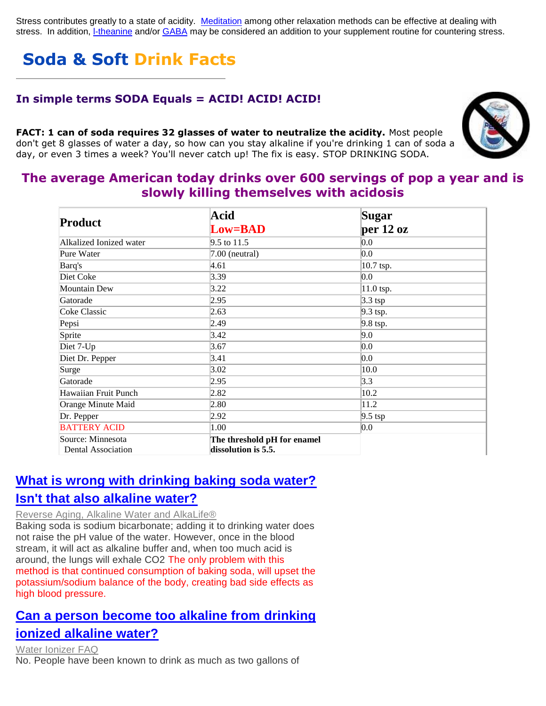Stress contributes greatly to a state of acidity. [Meditation](http://smartbodyz.com/Meditation-Relaxation-Breathing-Exercises-Focus-Om.htm) among other relaxation methods can be effective at dealing with stress. In addition, [l-theanine](http://smartbodyz.com/l-theanine-Order.htm) and/or [GABA](http://smartbodyz.com/GABA-ginseng-spirulina-turmeric-Order.htm) may be considered an addition to your supplement routine for countering stress.

# **Soda & Soft Drink Facts**

### **In simple terms SODA Equals = ACID! ACID! ACID!**

**FACT: 1 can of soda requires 32 glasses of water to neutralize the acidity.** Most people don't get 8 glasses of water a day, so how can you stay alkaline if you're drinking 1 can of soda a day, or even 3 times a week? You'll never catch up! The fix is easy. STOP DRINKING SODA.



### **The average American today drinks over 600 servings of pop a year and is slowly killing themselves with acidosis**

|                                                | Acid                                               | Sugar      |
|------------------------------------------------|----------------------------------------------------|------------|
| <b>Product</b>                                 | <b>Low=BAD</b>                                     | per 12 oz  |
| Alkalized Ionized water                        | $9.5$ to 11.5                                      | 0.0        |
| Pure Water                                     | $7.00$ (neutral)                                   | 0.0        |
| Barq's                                         | 4.61                                               | 10.7 tsp.  |
| Diet Coke                                      | 3.39                                               | 0.0        |
| <b>Mountain Dew</b>                            | 3.22                                               | 11.0 tsp.  |
| Gatorade                                       | 2.95                                               | $3.3$ tsp  |
| Coke Classic                                   | 2.63                                               | $9.3$ tsp. |
| Pepsi                                          | 2.49                                               | 9.8 tsp.   |
| Sprite                                         | 3.42                                               | 9.0        |
| Diet 7-Up                                      | 3.67                                               | 0.0        |
| Diet Dr. Pepper                                | 3.41                                               | 0.0        |
| Surge                                          | 3.02                                               | 10.0       |
| Gatorade                                       | 2.95                                               | 3.3        |
| Hawaiian Fruit Punch                           | 2.82                                               | 10.2       |
| Orange Minute Maid                             | 2.80                                               | 11.2       |
| Dr. Pepper                                     | 2.92                                               | $9.5$ tsp  |
| <b>BATTERY ACID</b>                            | 1.00                                               | 0.0        |
| Source: Minnesota<br><b>Dental Association</b> | The threshold pH for enamel<br>dissolution is 5.5. |            |

### **[What is wrong with drinking baking soda water?](http://www.detoxifynow.com/sang_whang2.html)  [Isn't that also alkaline water?](http://www.detoxifynow.com/sang_whang2.html)**

### [Reverse Aging, Alkaline Water and AlkaLife®](http://www.detoxifynow.com/sang_whang2.html)

Baking soda is sodium bicarbonate; adding it to drinking water does not raise the pH value of the water. However, once in the blood stream, it will act as alkaline buffer and, when too much acid is around, the lungs will exhale CO2 The only problem with this method is that continued consumption of baking soda, will upset the potassium/sodium balance of the body, creating bad side effects as high blood pressure.

## **[Can a person become too alkaline from drinking](http://www.detoxifynow.com/faq_ionize.html)  [ionized alkaline water?](http://www.detoxifynow.com/faq_ionize.html)**

[Water Ionizer FAQ](http://www.detoxifynow.com/faq_ionize.html) No. People have been known to drink as much as two gallons of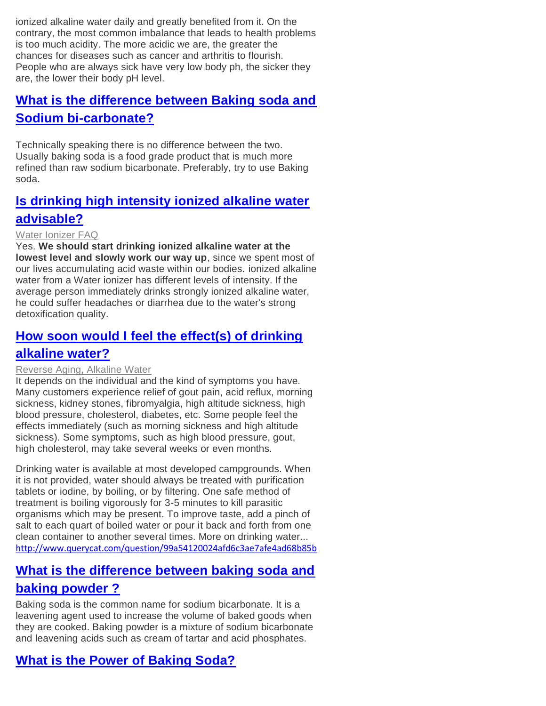ionized alkaline water daily and greatly benefited from it. On the contrary, the most common imbalance that leads to health problems is too much acidity. The more acidic we are, the greater the chances for diseases such as cancer and arthritis to flourish. People who are always sick have very low body ph, the sicker they are, the lower their body pH level.

## **[What is the difference between Baking soda and](http://www.indif.com/Food/misc/faq.asp)  [Sodium bi-carbonate?](http://www.indif.com/Food/misc/faq.asp)**

Technically speaking there is no difference between the two. Usually baking soda is a food grade product that is much more refined than raw sodium bicarbonate. Preferably, try to use Baking soda.

## **[Is drinking high intensity ionized alkaline water](http://www.detoxifynow.com/faq_ionize.html)  [advisable?](http://www.detoxifynow.com/faq_ionize.html)**

### [Water Ionizer FAQ](http://www.detoxifynow.com/faq_ionize.html)

Yes. **We should start drinking ionized alkaline water at the lowest level and slowly work our way up**, since we spent most of our lives accumulating acid waste within our bodies. ionized alkaline water from a Water ionizer has different levels of intensity. If the average person immediately drinks strongly ionized alkaline water, he could suffer headaches or diarrhea due to the water's strong detoxification quality.

# **[How soon would I feel the effect\(s\) of drinking](http://www.detoxifynow.com/sang_whang2.html)**

### **[alkaline water?](http://www.detoxifynow.com/sang_whang2.html)**

#### [Reverse Aging, Alkaline Water](http://www.detoxifynow.com/sang_whang2.html)

It depends on the individual and the kind of symptoms you have. Many customers experience relief of gout pain, acid reflux, morning sickness, kidney stones, fibromyalgia, high altitude sickness, high blood pressure, cholesterol, diabetes, etc. Some people feel the effects immediately (such as morning sickness and high altitude sickness). Some symptoms, such as high blood pressure, gout, high cholesterol, may take several weeks or even months.

Drinking water is available at most developed campgrounds. When it is not provided, water should always be treated with purification tablets or iodine, by boiling, or by filtering. One safe method of treatment is boiling vigorously for 3-5 minutes to kill parasitic organisms which may be present. To improve taste, add a pinch of salt to each quart of boiled water or pour it back and forth from one clean container to another several times. More on drinking water... <http://www.querycat.com/question/99a54120024afd6c3ae7afe4ad68b85b>

### **[What is the difference between baking soda and](http://www.seberangflour.com.my/services/faqs/faq.htm)**

### **[baking powder ?](http://www.seberangflour.com.my/services/faqs/faq.htm)**

Baking soda is the common name for sodium bicarbonate. It is a leavening agent used to increase the volume of baked goods when they are cooked. Baking powder is a mixture of sodium bicarbonate and leavening acids such as cream of tartar and acid phosphates.

## **[What is the Power of Baking Soda?](http://www.armhammervac.com/faqs.html)**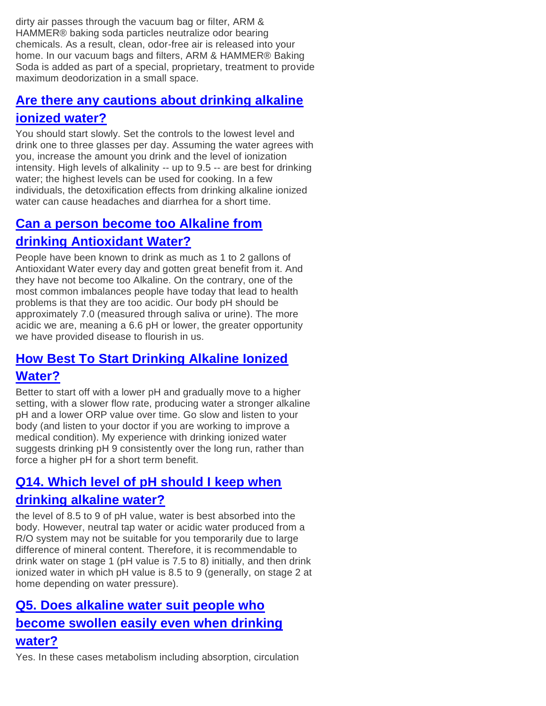dirty air passes through the vacuum bag or filter, ARM & HAMMER® baking soda particles neutralize odor bearing chemicals. As a result, clean, odor-free air is released into your home. In our vacuum bags and filters, ARM & HAMMER® Baking Soda is added as part of a special, proprietary, treatment to provide maximum deodorization in a small space.

## **[Are there any cautions about drinking alkaline](http://www.phwaterforhealth.com/faq.htm)  [ionized water?](http://www.phwaterforhealth.com/faq.htm)**

You should start slowly. Set the controls to the lowest level and drink one to three glasses per day. Assuming the water agrees with you, increase the amount you drink and the level of ionization intensity. High levels of alkalinity -- up to 9.5 -- are best for drinking water; the highest levels can be used for cooking. In a few individuals, the detoxification effects from drinking alkaline ionized water can cause headaches and diarrhea for a short time.

# **[Can a person become too Alkaline from](http://www.allnaturalwater.com/FAQS.php)**

## **[drinking Antioxidant Water?](http://www.allnaturalwater.com/FAQS.php)**

People have been known to drink as much as 1 to 2 gallons of Antioxidant Water every day and gotten great benefit from it. And they have not become too Alkaline. On the contrary, one of the most common imbalances people have today that lead to health problems is that they are too acidic. Our body pH should be approximately 7.0 (measured through saliva or urine). The more acidic we are, meaning a 6.6 pH or lower, the greater opportunity we have provided disease to flourish in us.

## **[How Best To Start Drinking Alkaline Ionized](http://www.heartspring.net/water_ionizer_questions_answers.html)  [Water?](http://www.heartspring.net/water_ionizer_questions_answers.html)**

Better to start off with a lower pH and gradually move to a higher setting, with a slower flow rate, producing water a stronger alkaline pH and a lower ORP value over time. Go slow and listen to your body (and listen to your doctor if you are working to improve a medical condition). My experience with drinking ionized water suggests drinking pH 9 consistently over the long run, rather than force a higher pH for a short term benefit.

# **[Q14. Which level of pH should I keep when](http://www.detoxifynow.com/faq_ionize2.html)  [drinking alkaline water?](http://www.detoxifynow.com/faq_ionize2.html)**

the level of 8.5 to 9 of pH value, water is best absorbed into the body. However, neutral tap water or acidic water produced from a R/O system may not be suitable for you temporarily due to large difference of mineral content. Therefore, it is recommendable to drink water on stage 1 (pH value is 7.5 to 8) initially, and then drink ionized water in which pH value is 8.5 to 9 (generally, on stage 2 at home depending on water pressure).

# **[Q5. Does alkaline water suit people who](http://www.detoxifynow.com/faq_ionize2.html)  [become swollen easily even when drinking](http://www.detoxifynow.com/faq_ionize2.html)**

## **[water?](http://www.detoxifynow.com/faq_ionize2.html)**

Yes. In these cases metabolism including absorption, circulation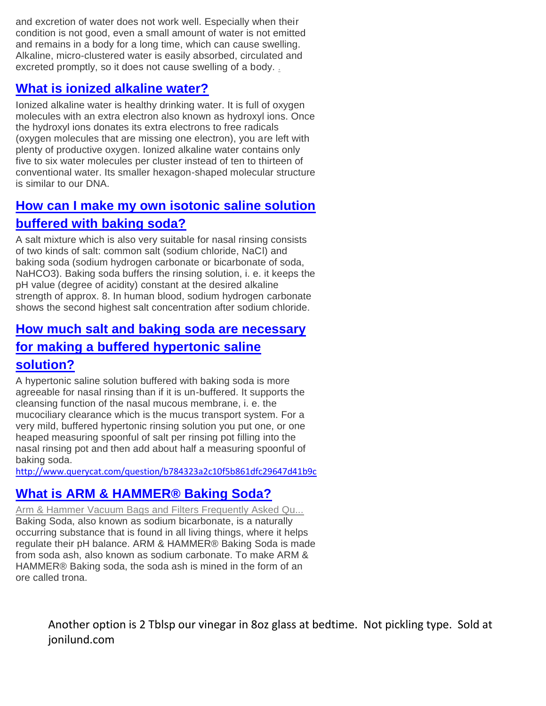and excretion of water does not work well. Especially when their condition is not good, even a small amount of water is not emitted and remains in a body for a long time, which can cause swelling. Alkaline, micro-clustered water is easily absorbed, circulated and excreted promptly, so it does not cause swelling of a body. [.](http://www.querycat.com/question/1ecf94b615ea9f3dde5de58aabbaa478)

## **[What is ionized alkaline water?](http://www.detoxifynow.com/faq_ionize.html)**

Ionized alkaline water is healthy drinking water. It is full of oxygen molecules with an extra electron also known as hydroxyl ions. Once the hydroxyl ions donates its extra electrons to free radicals (oxygen molecules that are missing one electron), you are left with plenty of productive oxygen. Ionized alkaline water contains only five to six water molecules per cluster instead of ten to thirteen of conventional water. Its smaller hexagon-shaped molecular structure is similar to our DNA.

# **[How can I make my own isotonic saline solution](http://www.nasespuelen.de/englisch/anwendung_detail.html)  [buffered with baking soda?](http://www.nasespuelen.de/englisch/anwendung_detail.html)**

A salt mixture which is also very suitable for nasal rinsing consists of two kinds of salt: common salt (sodium chloride, NaCl) and baking soda (sodium hydrogen carbonate or bicarbonate of soda, NaHCO3). Baking soda buffers the rinsing solution, i. e. it keeps the pH value (degree of acidity) constant at the desired alkaline strength of approx. 8. In human blood, sodium hydrogen carbonate shows the second highest salt concentration after sodium chloride.

# **[How much salt and baking soda are necessary](http://www.nasespuelen.de/englisch/anwendung_detail.html)  [for making a buffered hypertonic saline](http://www.nasespuelen.de/englisch/anwendung_detail.html)**

## **[solution?](http://www.nasespuelen.de/englisch/anwendung_detail.html)**

A hypertonic saline solution buffered with baking soda is more agreeable for nasal rinsing than if it is un-buffered. It supports the cleansing function of the nasal mucous membrane, i. e. the mucociliary clearance which is the mucus transport system. For a very mild, buffered hypertonic rinsing solution you put one, or one heaped measuring spoonful of salt per rinsing pot filling into the nasal rinsing pot and then add about half a measuring spoonful of baking soda.

<http://www.querycat.com/question/b784323a2c10f5b861dfc29647d41b9c>

## **[What is ARM & HAMMER® Baking Soda?](http://www.armhammervac.com/faqs.html)**

[Arm & Hammer Vacuum Bags and Filters Frequently Asked Qu...](http://www.armhammervac.com/faqs.html) Baking Soda, also known as sodium bicarbonate, is a naturally occurring substance that is found in all living things, where it helps regulate their pH balance. ARM & HAMMER® Baking Soda is made from soda ash, also known as sodium carbonate. To make ARM & HAMMER® Baking soda, the soda ash is mined in the form of an ore called trona.

> Another option is 2 Tblsp our vinegar in 8oz glass at bedtime. Not pickling type. Sold at jonilund.com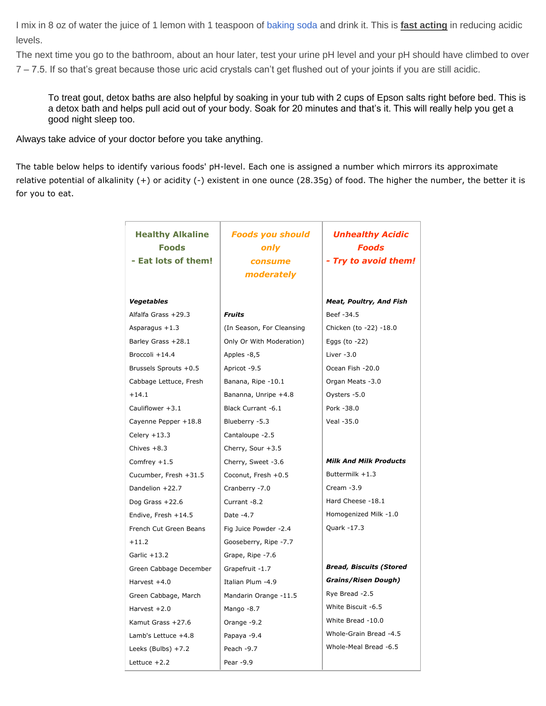I mix in 8 oz of water the juice of 1 lemon with 1 teaspoon of [baking soda](http://www.amazon.com/gp/product/B0019GVYR2?ie=UTF8&tag=ferventchrcom-20&linkCode=as2&camp=1789&creative=9325&creativeASIN=B0019GVYR2) and drink it. This is **fast acting** in reducing acidic levels.

The next time you go to the bathroom, about an hour later, test your urine pH level and your pH should have climbed to over 7 – 7.5. If so that's great because those uric acid crystals can't get flushed out of your joints if you are still acidic.

To treat gout, detox baths are also helpful by soaking in your tub with 2 cups of Epson salts right before bed. This is a detox bath and helps pull acid out of your body. Soak for 20 minutes and that's it. This will really help you get a good night sleep too.

Always take advice of your doctor before you take anything.

The table below helps to identify various foods' pH-level. Each one is assigned a number which mirrors its approximate relative potential of alkalinity (+) or acidity (-) existent in one ounce (28.35g) of food. The higher the number, the better it is for you to eat.

| <b>Healthy Alkaline</b><br><b>Foods</b><br>- Eat lots of them! | <b>Foods you should</b><br>only<br>consume | <b>Unhealthy Acidic</b><br><b>Foods</b><br>- Try to avoid them! |
|----------------------------------------------------------------|--------------------------------------------|-----------------------------------------------------------------|
|                                                                | moderately                                 |                                                                 |
| <b>Vegetables</b>                                              |                                            | <b>Meat, Poultry, And Fish</b>                                  |
| Alfalfa Grass +29.3                                            | <b>Fruits</b>                              | Beef -34.5                                                      |
| Asparagus $+1.3$                                               | (In Season, For Cleansing                  | Chicken (to -22) -18.0                                          |
| Barley Grass +28.1                                             | Only Or With Moderation)                   | Eggs (to $-22$ )                                                |
| Broccoli +14.4                                                 | Apples -8,5                                | Liver $-3.0$                                                    |
| Brussels Sprouts +0.5                                          | Apricot -9.5                               | Ocean Fish -20.0                                                |
| Cabbage Lettuce, Fresh                                         | Banana, Ripe -10.1                         | Organ Meats -3.0                                                |
| $+14.1$                                                        | Bananna, Unripe +4.8                       | Oysters -5.0                                                    |
| Cauliflower +3.1                                               | Black Currant -6.1                         | Pork -38.0                                                      |
| Cayenne Pepper +18.8                                           | Blueberry -5.3                             | Veal -35.0                                                      |
| Celery $+13.3$                                                 | Cantaloupe -2.5                            |                                                                 |
| Chives $+8.3$                                                  | Cherry, Sour +3.5                          |                                                                 |
| Comfrey $+1.5$                                                 | Cherry, Sweet -3.6                         | <b>Milk And Milk Products</b>                                   |
| Cucumber, Fresh +31.5                                          | Coconut, Fresh +0.5                        | Buttermilk +1.3                                                 |
| Dandelion +22.7                                                | Cranberry -7.0                             | Cream $-3.9$                                                    |
| Dog Grass $+22.6$                                              | Currant -8.2                               | Hard Cheese -18.1                                               |
| Endive, Fresh +14.5                                            | Date -4.7                                  | Homogenized Milk -1.0                                           |
| French Cut Green Beans                                         | Fig Juice Powder -2.4                      | Quark -17.3                                                     |
| $+11.2$                                                        | Gooseberry, Ripe -7.7                      |                                                                 |
| Garlic $+13.2$                                                 | Grape, Ripe -7.6                           |                                                                 |
| Green Cabbage December                                         | Grapefruit -1.7                            | <b>Bread, Biscuits (Stored</b>                                  |
| Harvest +4.0                                                   | Italian Plum -4.9                          | <b>Grains/Risen Dough)</b>                                      |
| Green Cabbage, March                                           | Mandarin Orange -11.5                      | Rye Bread -2.5                                                  |
| Harvest $+2.0$                                                 | Mango -8.7                                 | White Biscuit -6.5                                              |
| Kamut Grass +27.6                                              | Orange -9.2                                | White Bread -10.0                                               |
| Lamb's Lettuce +4.8                                            | Papaya -9.4                                | Whole-Grain Bread -4.5                                          |
| Leeks (Bulbs) $+7.2$                                           | Peach -9.7                                 | Whole-Meal Bread -6.5                                           |
| Lettuce $+2.2$                                                 | Pear -9.9                                  |                                                                 |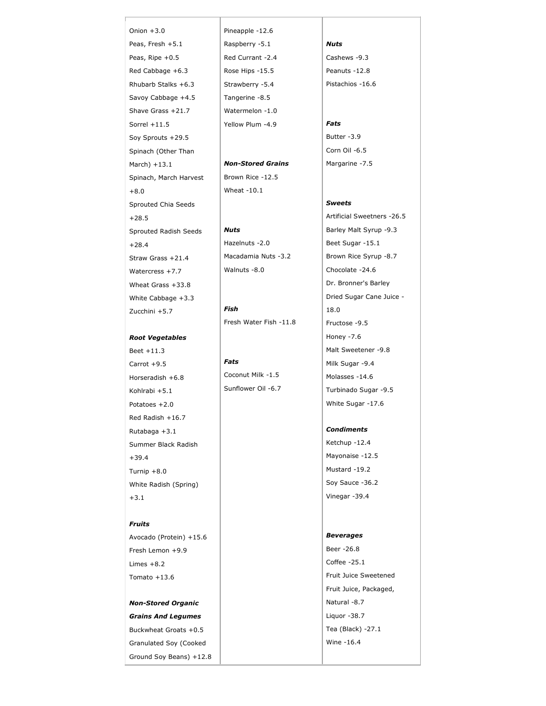Onion +3.0 Peas, Fresh +5.1 Peas, Ripe +0.5 Red Cabbage +6.3 Rhubarb Stalks +6.3 Savoy Cabbage +4.5 Shave Grass +21.7 Sorrel +11.5 Soy Sprouts +29.5 Spinach (Other Than March) +13.1 Spinach, March Harvest +8.0 Sprouted Chia Seeds +28.5 Sprouted Radish Seeds +28.4 Straw Grass +21.4 Watercress +7.7 Wheat Grass +33.8 White Cabbage +3.3 Zucchini +5.7

#### *Root Vegetables*

Beet +11.3 Carrot +9.5 Horseradish +6.8 Kohlrabi +5.1 Potatoes +2.0 Red Radish +16.7 Rutabaga +3.1 Summer Black Radish +39.4 Turnip +8.0 White Radish (Spring) +3.1

#### *Fruits*

Avocado (Protein) +15.6 Fresh Lemon +9.9 Limes +8.2 Tomato +13.6

*Non-Stored Organic Grains And Legumes* Buckwheat Groats +0.5 Granulated Soy (Cooked Ground Soy Beans) +12.8 Pineapple -12.6 Raspberry -5.1 Red Currant -2.4 Rose Hips -15.5 Strawberry -5.4 Tangerine -8.5 Watermelon -1.0 Yellow Plum -4.9

#### *Non-Stored Grains* Brown Rice -12.5 Wheat -10.1

*Nuts* Hazelnuts -2.0 Macadamia Nuts -3.2 Walnuts -8.0

*Fish* Fresh Water Fish -11.8

*Fats* Coconut Milk -1.5 Sunflower Oil -6.7

#### *Nuts* Cashews -9.3

Peanuts -12.8 Pistachios -16.6

#### *Fats*

Butter -3.9 Corn Oil -6.5 Margarine -7.5

#### *Sweets*

Artificial Sweetners -26.5 Barley Malt Syrup -9.3 Beet Sugar -15.1 Brown Rice Syrup -8.7 Chocolate -24.6 Dr. Bronner's Barley Dried Sugar Cane Juice - 18.0 Fructose -9.5 Honey -7.6 Malt Sweetener -9.8 Milk Sugar -9.4 Molasses -14.6 Turbinado Sugar -9.5 White Sugar -17.6

#### *Condiments*

Ketchup -12.4 Mayonaise -12.5 Mustard -19.2 Soy Sauce -36.2 Vinegar -39.4

#### *Beverages*

Beer -26.8 Coffee -25.1 Fruit Juice Sweetened Fruit Juice, Packaged, Natural -8.7 Liquor -38.7 Tea (Black) -27.1 Wine -16.4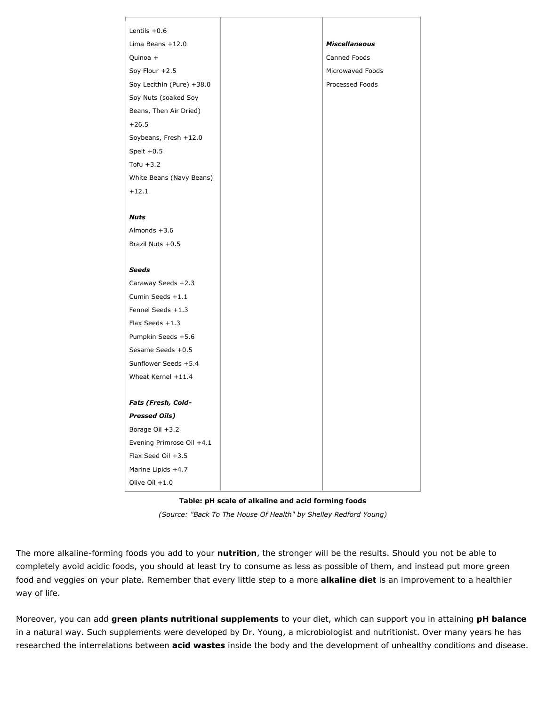| Lentils $+0.6$            |                      |
|---------------------------|----------------------|
| Lima Beans $+12.0$        | <b>Miscellaneous</b> |
| Quinoa +                  | Canned Foods         |
| Soy Flour +2.5            | Microwaved Foods     |
| Soy Lecithin (Pure) +38.0 | Processed Foods      |
| Soy Nuts (soaked Soy      |                      |
| Beans, Then Air Dried)    |                      |
| $+26.5$                   |                      |
| Soybeans, Fresh +12.0     |                      |
| Spelt $+0.5$              |                      |
| Tofu $+3.2$               |                      |
| White Beans (Navy Beans)  |                      |
| $+12.1$                   |                      |
|                           |                      |
| <b>Nuts</b>               |                      |
| Almonds $+3.6$            |                      |
| Brazil Nuts +0.5          |                      |
|                           |                      |
| <b>Seeds</b>              |                      |
| Caraway Seeds +2.3        |                      |
| Cumin Seeds +1.1          |                      |
| Fennel Seeds +1.3         |                      |
| Flax Seeds +1.3           |                      |
| Pumpkin Seeds +5.6        |                      |
| Sesame Seeds +0.5         |                      |
| Sunflower Seeds +5.4      |                      |
| Wheat Kernel +11.4        |                      |
|                           |                      |
| Fats (Fresh, Cold-        |                      |
| <b>Pressed Oils)</b>      |                      |
| Borage Oil +3.2           |                      |
| Evening Primrose Oil +4.1 |                      |
| Flax Seed Oil +3.5        |                      |
| Marine Lipids +4.7        |                      |
| Olive Oil $+1.0$          |                      |

#### **Table: pH scale of alkaline and acid forming foods**

*(Source: "Back To The House Of Health" by Shelley Redford Young)*

The more alkaline-forming foods you add to your **nutrition**, the stronger will be the results. Should you not be able to completely avoid acidic foods, you should at least try to consume as less as possible of them, and instead put more green food and veggies on your plate. Remember that every little step to a more **alkaline diet** is an improvement to a healthier way of life.

Moreover, you can add **green plants nutritional supplements** to your diet, which can support you in attaining **pH balance**  in a natural way. Such supplements were developed by Dr. Young, a microbiologist and nutritionist. Over many years he has researched the interrelations between **acid wastes** inside the body and the development of unhealthy conditions and disease.